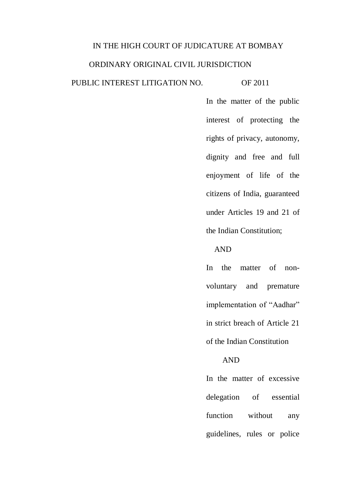#### IN THE HIGH COURT OF JUDICATURE AT BOMBAY

# ORDINARY ORIGINAL CIVIL JURISDICTION

## PUBLIC INTEREST LITIGATION NO. OF 2011

In the matter of the public interest of protecting the rights of privacy, autonomy, dignity and free and full enjoyment of life of the citizens of India, guaranteed under Articles 19 and 21 of the Indian Constitution;

# AND

In the matter of nonvoluntary and premature implementation of "Aadhar" in strict breach of Article 21 of the Indian Constitution

#### AND

In the matter of excessive delegation of essential function without any guidelines, rules or police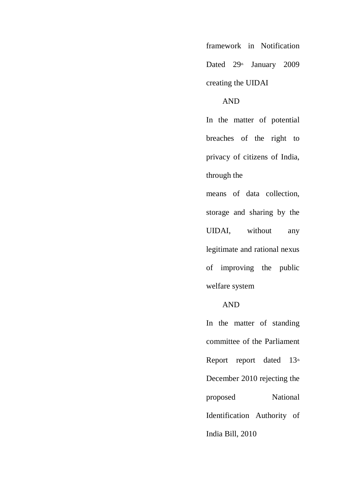framework in Notification Dated 29<sup>th</sup> January 2009 creating the UIDAI

## AND

In the matter of potential breaches of the right to privacy of citizens of India, through the

means of data collection, storage and sharing by the UIDAI, without any legitimate and rational nexus of improving the public welfare system

# AND

In the matter of standing committee of the Parliament Report report dated  $13<sup>th</sup>$ December 2010 rejecting the proposed National Identification Authority of India Bill, 2010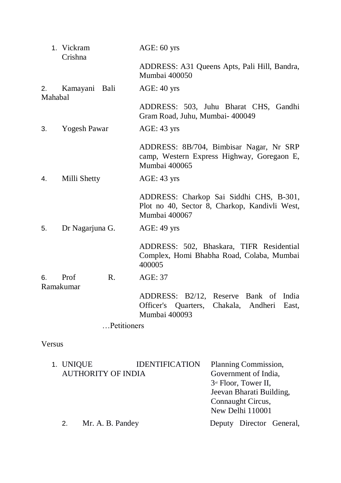|                       | 1. Vickram<br>Crishna |                | $AGE: 60$ yrs                                                                                              |  |  |  |  |
|-----------------------|-----------------------|----------------|------------------------------------------------------------------------------------------------------------|--|--|--|--|
|                       |                       |                | ADDRESS: A31 Queens Apts, Pali Hill, Bandra,<br>Mumbai 400050                                              |  |  |  |  |
| 2.<br>Mahabal         | Kamayani Bali         |                | $AGE: 40$ yrs                                                                                              |  |  |  |  |
|                       |                       |                | ADDRESS: 503, Juhu Bharat CHS, Gandhi<br>Gram Road, Juhu, Mumbai- 400049                                   |  |  |  |  |
| 3.                    | <b>Yogesh Pawar</b>   |                | $AGE: 43$ yrs                                                                                              |  |  |  |  |
|                       |                       |                | ADDRESS: 8B/704, Bimbisar Nagar, Nr SRP<br>camp, Western Express Highway, Goregaon E,<br>Mumbai 400065     |  |  |  |  |
| Milli Shetty<br>4.    |                       |                | $AGE: 43$ yrs                                                                                              |  |  |  |  |
|                       |                       |                | ADDRESS: Charkop Sai Siddhi CHS, B-301,<br>Plot no 40, Sector 8, Charkop, Kandivli West,<br>Mumbai 400067  |  |  |  |  |
| Dr Nagarjuna G.<br>5. |                       |                | $AGE: 49$ yrs                                                                                              |  |  |  |  |
|                       |                       |                | ADDRESS: 502, Bhaskara, TIFR Residential<br>Complex, Homi Bhabha Road, Colaba, Mumbai<br>400005            |  |  |  |  |
| 6.<br>Ramakumar       | Prof                  | $\mathbf{R}$ . | AGE: 37                                                                                                    |  |  |  |  |
|                       |                       |                | ADDRESS: B2/12, Reserve Bank of India<br>Quarters, Chakala, Andheri<br>Officer's<br>East,<br>Mumbai 400093 |  |  |  |  |
|                       |                       | Petitioners    |                                                                                                            |  |  |  |  |

Versus

|  | 1. UNIQUE                 |                  | <b>IDENTIFICATION</b> | Planning Commission,     |                          |  |  |  |  |  |
|--|---------------------------|------------------|-----------------------|--------------------------|--------------------------|--|--|--|--|--|
|  | <b>AUTHORITY OF INDIA</b> |                  |                       | Government of India,     |                          |  |  |  |  |  |
|  |                           |                  |                       |                          | $3rd$ Floor, Tower II,   |  |  |  |  |  |
|  |                           |                  |                       | Jeevan Bharati Building, |                          |  |  |  |  |  |
|  |                           |                  |                       | Connaught Circus,        |                          |  |  |  |  |  |
|  |                           |                  |                       | New Delhi 110001         |                          |  |  |  |  |  |
|  | 2.                        | Mr. A. B. Pandey |                       |                          | Deputy Director General, |  |  |  |  |  |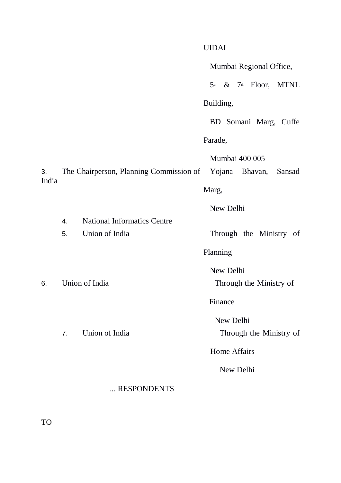|             |                                                        |                |                         | <b>UIDAI</b>            |           |  |  |                |                                               |  |
|-------------|--------------------------------------------------------|----------------|-------------------------|-------------------------|-----------|--|--|----------------|-----------------------------------------------|--|
|             |                                                        |                | Mumbai Regional Office, |                         |           |  |  |                |                                               |  |
|             |                                                        |                |                         |                         |           |  |  |                | $5^{\text{th}}$ & $7^{\text{th}}$ Floor, MTNL |  |
|             |                                                        |                | Building,               |                         |           |  |  |                |                                               |  |
|             |                                                        |                |                         |                         |           |  |  |                | BD Somani Marg, Cuffe                         |  |
|             |                                                        |                |                         | Parade,                 |           |  |  |                |                                               |  |
| 3.<br>India | The Chairperson, Planning Commission of Yojana Bhavan, |                |                         |                         |           |  |  | Mumbai 400 005 | Sansad                                        |  |
|             |                                                        |                |                         | Marg,                   |           |  |  |                |                                               |  |
|             |                                                        |                |                         | New Delhi               |           |  |  |                |                                               |  |
|             | <b>National Informatics Centre</b><br>4.               |                |                         |                         |           |  |  |                |                                               |  |
|             | 5.                                                     | Union of India | Through the Ministry of |                         |           |  |  |                |                                               |  |
|             |                                                        |                |                         | Planning                |           |  |  |                |                                               |  |
|             |                                                        |                |                         | New Delhi               |           |  |  |                |                                               |  |
| 6.          | Union of India                                         |                |                         | Through the Ministry of |           |  |  |                |                                               |  |
|             |                                                        |                |                         | Finance                 |           |  |  |                |                                               |  |
|             |                                                        |                |                         | New Delhi               |           |  |  |                |                                               |  |
|             | 7 <sub>1</sub>                                         | Union of India | Through the Ministry of |                         |           |  |  |                |                                               |  |
|             |                                                        |                | <b>Home Affairs</b>     |                         |           |  |  |                |                                               |  |
|             |                                                        |                |                         |                         | New Delhi |  |  |                |                                               |  |
|             |                                                        | RESPONDENTS    |                         |                         |           |  |  |                |                                               |  |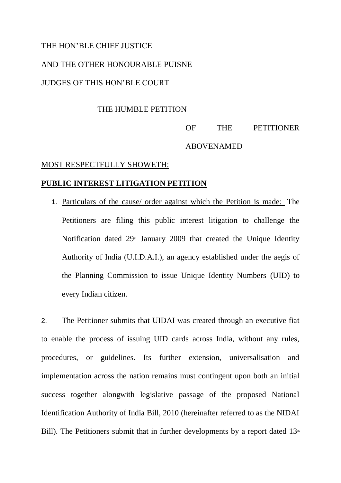## THE HON'BLE CHIEF JUSTICE

# AND THE OTHER HONOURABLE PUISNE

#### JUDGES OF THIS HON'BLE COURT

#### THE HUMBLE PETITION

# OF THE PETITIONER ABOVENAMED

#### MOST RESPECTFULLY SHOWETH:

#### **PUBLIC INTEREST LITIGATION PETITION**

1. Particulars of the cause/ order against which the Petition is made: The Petitioners are filing this public interest litigation to challenge the Notification dated  $29<sup>th</sup>$  January 2009 that created the Unique Identity Authority of India (U.I.D.A.I.), an agency established under the aegis of the Planning Commission to issue Unique Identity Numbers (UID) to every Indian citizen.

2. The Petitioner submits that UIDAI was created through an executive fiat to enable the process of issuing UID cards across India, without any rules, procedures, or guidelines. Its further extension, universalisation and implementation across the nation remains must contingent upon both an initial success together alongwith legislative passage of the proposed National Identification Authority of India Bill, 2010 (hereinafter referred to as the NIDAI Bill). The Petitioners submit that in further developments by a report dated  $13<sup>th</sup>$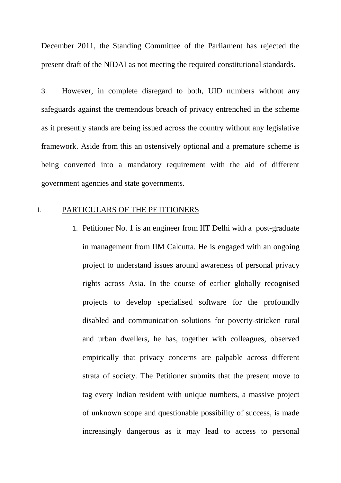December 2011, the Standing Committee of the Parliament has rejected the present draft of the NIDAI as not meeting the required constitutional standards.

3. However, in complete disregard to both, UID numbers without any safeguards against the tremendous breach of privacy entrenched in the scheme as it presently stands are being issued across the country without any legislative framework. Aside from this an ostensively optional and a premature scheme is being converted into a mandatory requirement with the aid of different government agencies and state governments.

#### I. PARTICULARS OF THE PETITIONERS

1. Petitioner No. 1 is an engineer from IIT Delhi with a post-graduate in management from IIM Calcutta. He is engaged with an ongoing project to understand issues around awareness of personal privacy rights across Asia. In the course of earlier globally recognised projects to develop specialised software for the profoundly disabled and communication solutions for poverty-stricken rural and urban dwellers, he has, together with colleagues, observed empirically that privacy concerns are palpable across different strata of society. The Petitioner submits that the present move to tag every Indian resident with unique numbers, a massive project of unknown scope and questionable possibility of success, is made increasingly dangerous as it may lead to access to personal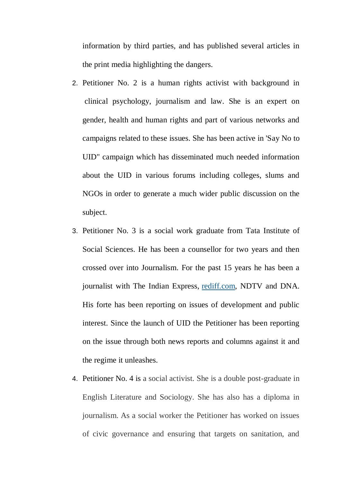information by third parties, and has published several articles in the print media highlighting the dangers.

- 2. Petitioner No. 2 is a human rights activist with background in clinical psychology, journalism and law. She is an expert on gender, health and human rights and part of various networks and campaigns related to these issues. She has been active in 'Say No to UID" campaign which has disseminated much needed information about the UID in various forums including colleges, slums and NGOs in order to generate a much wider public discussion on the subject.
- 3. Petitioner No. 3 is a social work graduate from Tata Institute of Social Sciences. He has been a counsellor for two years and then crossed over into Journalism. For the past 15 years he has been a journalist with The Indian Express, [rediff.com,](http://rediff.com/) NDTV and DNA. His forte has been reporting on issues of development and public interest. Since the launch of UID the Petitioner has been reporting on the issue through both news reports and columns against it and the regime it unleashes.
- 4. Petitioner No. 4 is a social activist. She is a double post-graduate in English Literature and Sociology. She has also has a diploma in journalism. As a social worker the Petitioner has worked on issues of civic governance and ensuring that targets on sanitation, and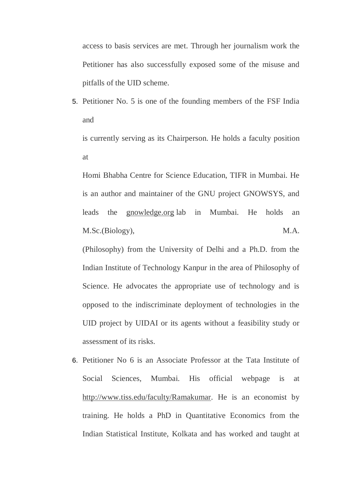access to basis services are met. Through her journalism work the Petitioner has also successfully exposed some of the misuse and pitfalls of the UID scheme.

5. Petitioner No. 5 is one of the founding members of the FSF India and

is currently serving as its Chairperson. He holds a faculty position at

Homi Bhabha Centre for Science Education, TIFR in Mumbai. He is an author and maintainer of the GNU project GNOWSYS, and leads the [gnowledge.org](http://gnowledge.org/) lab in Mumbai. He holds an M.Sc.(Biology), M.A.

(Philosophy) from the University of Delhi and a Ph.D. from the Indian Institute of Technology Kanpur in the area of Philosophy of Science. He advocates the appropriate use of technology and is opposed to the indiscriminate deployment of technologies in the UID project by UIDAI or its agents without a feasibility study or assessment of its risks.

6. Petitioner No 6 is an Associate Professor at the Tata Institute of Social Sciences, Mumbai. His official webpage is at [http://www.tiss.edu/faculty/Ramakumar.](http://www.tiss.edu/faculty/Ramakumar) He is an economist by training. He holds a PhD in Quantitative Economics from the Indian Statistical Institute, Kolkata and has worked and taught at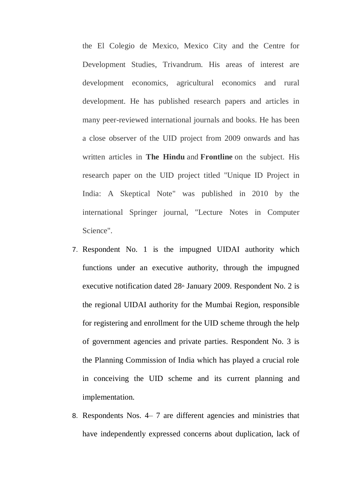the El Colegio de Mexico, Mexico City and the Centre for Development Studies, Trivandrum. His areas of interest are development economics, agricultural economics and rural development. He has published research papers and articles in many peer-reviewed international journals and books. He has been a close observer of the UID project from 2009 onwards and has written articles in **The Hindu** and **Frontline** on the subject. His research paper on the UID project titled "Unique ID Project in India: A Skeptical Note" was published in 2010 by the international Springer journal, "Lecture Notes in Computer Science".

- 7. Respondent No. 1 is the impugned UIDAI authority which functions under an executive authority, through the impugned executive notification dated  $28<sup>th</sup>$  January 2009. Respondent No. 2 is the regional UIDAI authority for the Mumbai Region, responsible for registering and enrollment for the UID scheme through the help of government agencies and private parties. Respondent No. 3 is the Planning Commission of India which has played a crucial role in conceiving the UID scheme and its current planning and implementation.
- 8. Respondents Nos. 4– 7 are different agencies and ministries that have independently expressed concerns about duplication, lack of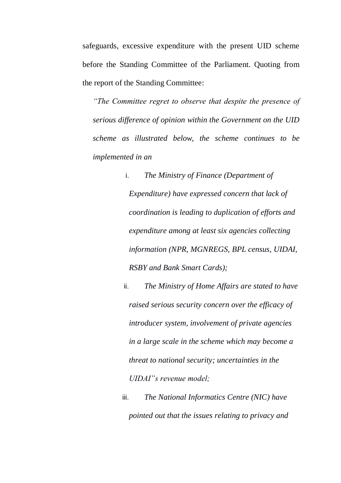safeguards, excessive expenditure with the present UID scheme before the Standing Committee of the Parliament. Quoting from the report of the Standing Committee:

*"The Committee regret to observe that despite the presence of serious difference of opinion within the Government on the UID scheme as illustrated below, the scheme continues to be implemented in an*

> i. *The Ministry of Finance (Department of Expenditure) have expressed concern that lack of coordination is leading to duplication of efforts and expenditure among at least six agencies collecting information (NPR, MGNREGS, BPL census, UIDAI, RSBY and Bank Smart Cards);*

ii. *The Ministry of Home Affairs are stated to have raised serious security concern over the efficacy of introducer system, involvement of private agencies in a large scale in the scheme which may become a threat to national security; uncertainties in the UIDAI"s revenue model;* 

iii. *The National Informatics Centre (NIC) have pointed out that the issues relating to privacy and*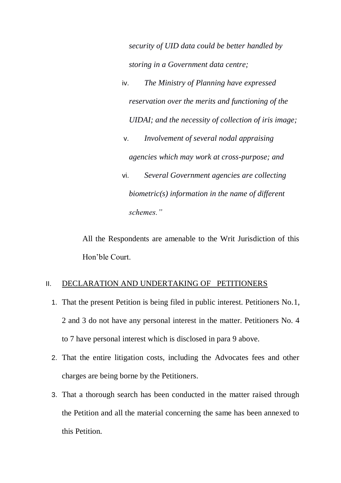*security of UID data could be better handled by storing in a Government data centre;* 

- iv. *The Ministry of Planning have expressed reservation over the merits and functioning of the UIDAI; and the necessity of collection of iris image;*
- v. *Involvement of several nodal appraising agencies which may work at cross-purpose; and*
- vi. *Several Government agencies are collecting biometric(s) information in the name of different schemes."*

All the Respondents are amenable to the Writ Jurisdiction of this Hon'ble Court.

# II. DECLARATION AND UNDERTAKING OF PETITIONERS

- 1. That the present Petition is being filed in public interest. Petitioners No.1, 2 and 3 do not have any personal interest in the matter. Petitioners No. 4 to 7 have personal interest which is disclosed in para 9 above.
- 2. That the entire litigation costs, including the Advocates fees and other charges are being borne by the Petitioners.
- 3. That a thorough search has been conducted in the matter raised through the Petition and all the material concerning the same has been annexed to this Petition.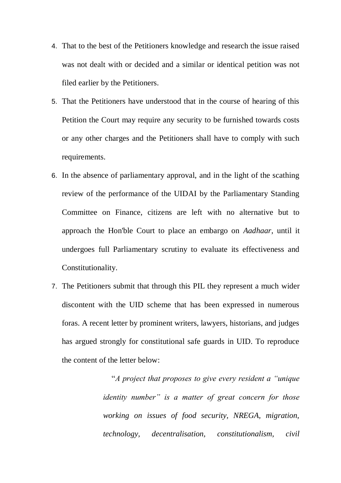- 4. That to the best of the Petitioners knowledge and research the issue raised was not dealt with or decided and a similar or identical petition was not filed earlier by the Petitioners.
- 5. That the Petitioners have understood that in the course of hearing of this Petition the Court may require any security to be furnished towards costs or any other charges and the Petitioners shall have to comply with such requirements.
- 6. In the absence of parliamentary approval, and in the light of the scathing review of the performance of the UIDAI by the Parliamentary Standing Committee on Finance, citizens are left with no alternative but to approach the Hon'ble Court to place an embargo on *Aadhaar*, until it undergoes full Parliamentary scrutiny to evaluate its effectiveness and Constitutionality.
- 7. The Petitioners submit that through this PIL they represent a much wider discontent with the UID scheme that has been expressed in numerous foras. A recent letter by prominent writers, lawyers, historians, and judges has argued strongly for constitutional safe guards in UID. To reproduce the content of the letter below:

 "*A project that proposes to give every resident a "unique identity number" is a matter of great concern for those working on issues of food security, NREGA, migration, technology, decentralisation, constitutionalism, civil*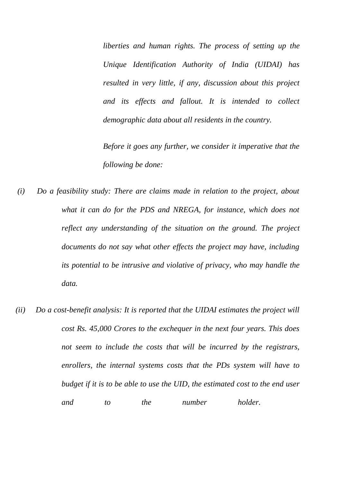*liberties and human rights. The process of setting up the Unique Identification Authority of India (UIDAI) has resulted in very little, if any, discussion about this project and its effects and fallout. It is intended to collect demographic data about all residents in the country.*

*Before it goes any further, we consider it imperative that the following be done:*

- *(i) Do a feasibility study: There are claims made in relation to the project, about what it can do for the PDS and NREGA, for instance, which does not reflect any understanding of the situation on the ground. The project documents do not say what other effects the project may have, including its potential to be intrusive and violative of privacy, who may handle the data.*
- *(ii) Do a cost-benefit analysis: It is reported that the UIDAI estimates the project will cost Rs. 45,000 Crores to the exchequer in the next four years. This does not seem to include the costs that will be incurred by the registrars, enrollers, the internal systems costs that the PDs system will have to budget if it is to be able to use the UID, the estimated cost to the end user and to the number holder.*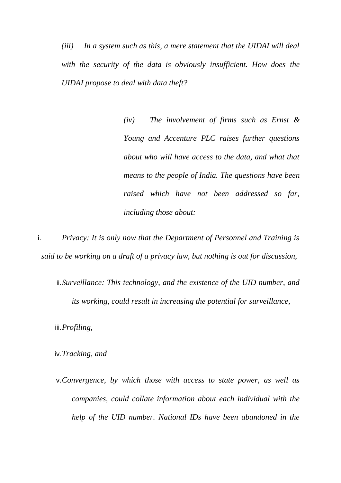*(iii) In a system such as this, a mere statement that the UIDAI will deal with the security of the data is obviously insufficient. How does the UIDAI propose to deal with data theft?*

> *(iv) The involvement of firms such as Ernst & Young and Accenture PLC raises further questions about who will have access to the data, and what that means to the people of India. The questions have been raised which have not been addressed so far, including those about:*

i. *Privacy: It is only now that the Department of Personnel and Training is said to be working on a draft of a privacy law, but nothing is out for discussion,* 

ii.*Surveillance: This technology, and the existence of the UID number, and its working, could result in increasing the potential for surveillance,*

iii.*Profiling,*

iv.*Tracking, and*

v.*Convergence, by which those with access to state power, as well as companies, could collate information about each individual with the help of the UID number. National IDs have been abandoned in the*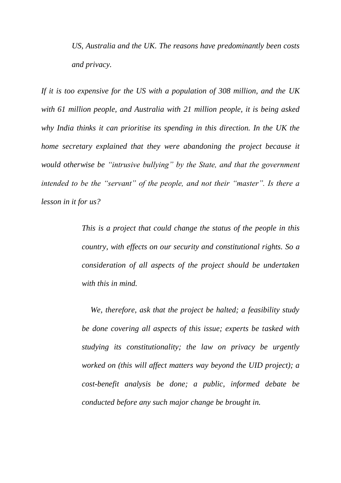*US, Australia and the UK. The reasons have predominantly been costs and privacy.*

*If it is too expensive for the US with a population of 308 million, and the UK with 61 million people, and Australia with 21 million people, it is being asked why India thinks it can prioritise its spending in this direction. In the UK the home secretary explained that they were abandoning the project because it would otherwise be "intrusive bullying" by the State, and that the government intended to be the "servant" of the people, and not their "master". Is there a lesson in it for us?*

> *This is a project that could change the status of the people in this country, with effects on our security and constitutional rights. So a consideration of all aspects of the project should be undertaken with this in mind.*

> *We, therefore, ask that the project be halted; a feasibility study be done covering all aspects of this issue; experts be tasked with studying its constitutionality; the law on privacy be urgently worked on (this will affect matters way beyond the UID project); a cost-benefit analysis be done; a public, informed debate be conducted before any such major change be brought in.*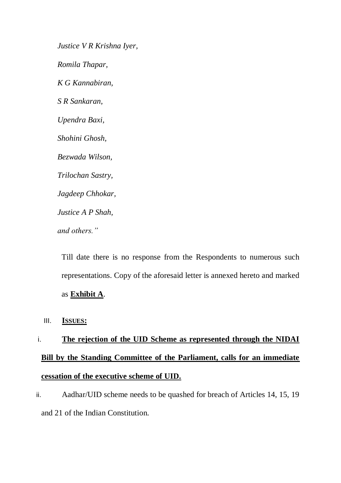*Justice V R Krishna Iyer, Romila Thapar, K G Kannabiran, S R Sankaran, Upendra Baxi, Shohini Ghosh, Bezwada Wilson, Trilochan Sastry, Jagdeep Chhokar, Justice A P Shah, and others."*

Till date there is no response from the Respondents to numerous such representations. Copy of the aforesaid letter is annexed hereto and marked as **Exhibit A**.

III. **ISSUES:**

# i. **The rejection of the UID Scheme as represented through the NIDAI Bill by the Standing Committee of the Parliament, calls for an immediate cessation of the executive scheme of UID.**

ii. Aadhar/UID scheme needs to be quashed for breach of Articles 14, 15, 19 and 21 of the Indian Constitution.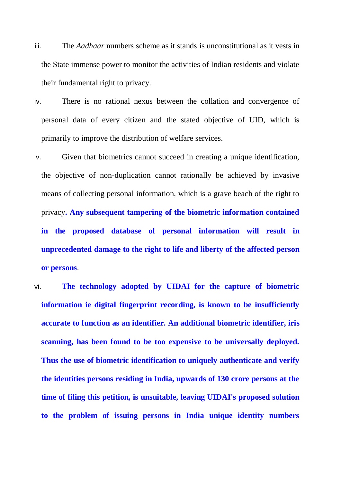- iii. The *Aadhaar* numbers scheme as it stands is unconstitutional as it vests in the State immense power to monitor the activities of Indian residents and violate their fundamental right to privacy.
- iv. There is no rational nexus between the collation and convergence of personal data of every citizen and the stated objective of UID, which is primarily to improve the distribution of welfare services.
- v. Given that biometrics cannot succeed in creating a unique identification, the objective of non-duplication cannot rationally be achieved by invasive means of collecting personal information, which is a grave beach of the right to privacy**. Any subsequent tampering of the biometric information contained in the proposed database of personal information will result in unprecedented damage to the right to life and liberty of the affected person or persons**.
- vi. **The technology adopted by UIDAI for the capture of biometric information ie digital fingerprint recording, is known to be insufficiently accurate to function as an identifier. An additional biometric identifier, iris scanning, has been found to be too expensive to be universally deployed. Thus the use of biometric identification to uniquely authenticate and verify the identities persons residing in India, upwards of 130 crore persons at the time of filing this petition, is unsuitable, leaving UIDAI's proposed solution to the problem of issuing persons in India unique identity numbers**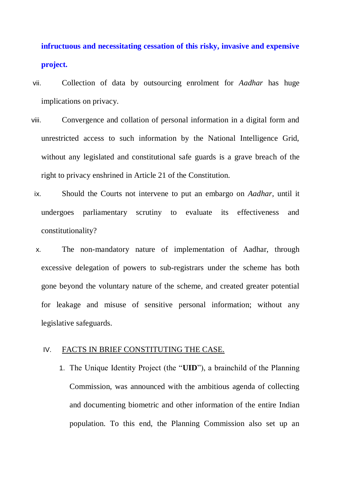# **infructuous and necessitating cessation of this risky, invasive and expensive project.**

- vii. Collection of data by outsourcing enrolment for *Aadhar* has huge implications on privacy.
- viii. Convergence and collation of personal information in a digital form and unrestricted access to such information by the National Intelligence Grid, without any legislated and constitutional safe guards is a grave breach of the right to privacy enshrined in Article 21 of the Constitution.
	- ix. Should the Courts not intervene to put an embargo on *Aadhar*, until it undergoes parliamentary scrutiny to evaluate its effectiveness and constitutionality?
	- x. The non-mandatory nature of implementation of Aadhar, through excessive delegation of powers to sub-registrars under the scheme has both gone beyond the voluntary nature of the scheme, and created greater potential for leakage and misuse of sensitive personal information; without any legislative safeguards.

#### IV. FACTS IN BRIEF CONSTITUTING THE CASE.

1. The Unique Identity Project (the "**UID**"), a brainchild of the Planning Commission, was announced with the ambitious agenda of collecting and documenting biometric and other information of the entire Indian population. To this end, the Planning Commission also set up an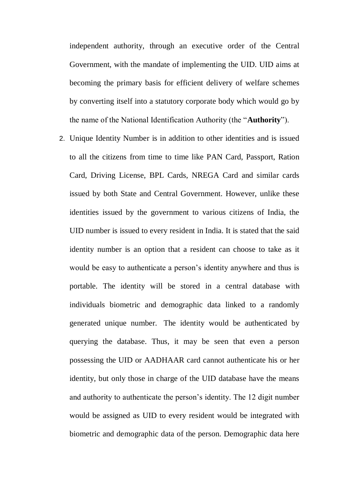independent authority, through an executive order of the Central Government, with the mandate of implementing the UID. UID aims at becoming the primary basis for efficient delivery of welfare schemes by converting itself into a statutory corporate body which would go by the name of the National Identification Authority (the "**Authority**").

2. Unique Identity Number is in addition to other identities and is issued to all the citizens from time to time like PAN Card, Passport, Ration Card, Driving License, BPL Cards, NREGA Card and similar cards issued by both State and Central Government. However, unlike these identities issued by the government to various citizens of India, the UID number is issued to every resident in India. It is stated that the said identity number is an option that a resident can choose to take as it would be easy to authenticate a person's identity anywhere and thus is portable. The identity will be stored in a central database with individuals biometric and demographic data linked to a randomly generated unique number. The identity would be authenticated by querying the database. Thus, it may be seen that even a person possessing the UID or AADHAAR card cannot authenticate his or her identity, but only those in charge of the UID database have the means and authority to authenticate the person's identity. The 12 digit number would be assigned as UID to every resident would be integrated with biometric and demographic data of the person. Demographic data here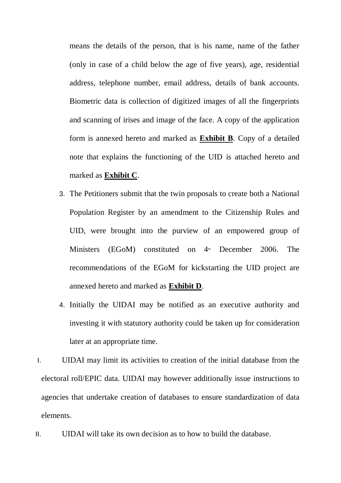means the details of the person, that is his name, name of the father (only in case of a child below the age of five years), age, residential address, telephone number, email address, details of bank accounts. Biometric data is collection of digitized images of all the fingerprints and scanning of irises and image of the face. A copy of the application form is annexed hereto and marked as **Exhibit B**. Copy of a detailed note that explains the functioning of the UID is attached hereto and marked as **Exhibit C**.

- 3. The Petitioners submit that the twin proposals to create both a National Population Register by an amendment to the Citizenship Rules and UID, were brought into the purview of an empowered group of Ministers (EGoM) constituted on  $4<sup>th</sup>$  December 2006. The recommendations of the EGoM for kickstarting the UID project are annexed hereto and marked as **Exhibit D**.
- 4. Initially the UIDAI may be notified as an executive authority and investing it with statutory authority could be taken up for consideration later at an appropriate time.
- I. UIDAI may limit its activities to creation of the initial database from the electoral roll/EPIC data. UIDAI may however additionally issue instructions to agencies that undertake creation of databases to ensure standardization of data elements.
- II. UIDAI will take its own decision as to how to build the database.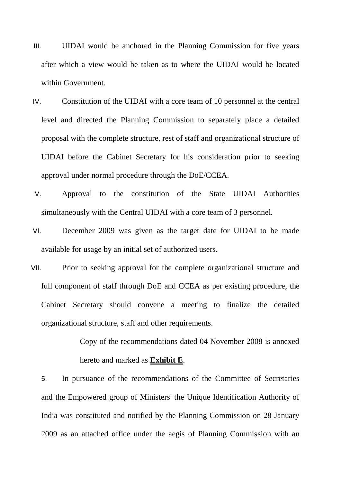- III. UIDAI would be anchored in the Planning Commission for five years after which a view would be taken as to where the UIDAI would be located within Government.
- IV. Constitution of the UIDAI with a core team of 10 personnel at the central level and directed the Planning Commission to separately place a detailed proposal with the complete structure, rest of staff and organizational structure of UIDAI before the Cabinet Secretary for his consideration prior to seeking approval under normal procedure through the DoE/CCEA.
- V. Approval to the constitution of the State UIDAI Authorities simultaneously with the Central UIDAI with a core team of 3 personnel.
- VI. December 2009 was given as the target date for UIDAI to be made available for usage by an initial set of authorized users.
- VII. Prior to seeking approval for the complete organizational structure and full component of staff through DoE and CCEA as per existing procedure, the Cabinet Secretary should convene a meeting to finalize the detailed organizational structure, staff and other requirements.

Copy of the recommendations dated 04 November 2008 is annexed hereto and marked as **Exhibit E**.

5. In pursuance of the recommendations of the Committee of Secretaries and the Empowered group of Ministers' the Unique Identification Authority of India was constituted and notified by the Planning Commission on 28 January 2009 as an attached office under the aegis of Planning Commission with an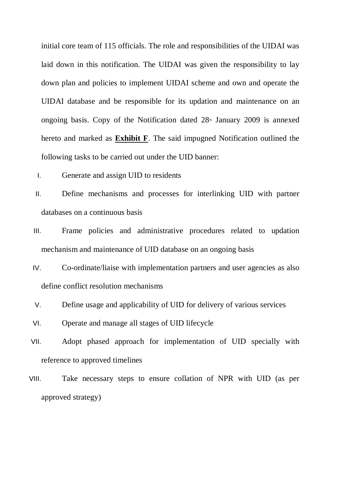initial core team of 115 officials. The role and responsibilities of the UIDAI was laid down in this notification. The UIDAI was given the responsibility to lay down plan and policies to implement UIDAI scheme and own and operate the UIDAI database and be responsible for its updation and maintenance on an ongoing basis. Copy of the Notification dated  $28<sup>th</sup>$  January 2009 is annexed hereto and marked as **Exhibit F**. The said impugned Notification outlined the following tasks to be carried out under the UID banner:

- I. Generate and assign UID to residents
- II. Define mechanisms and processes for interlinking UID with partner databases on a continuous basis
- III. Frame policies and administrative procedures related to updation mechanism and maintenance of UID database on an ongoing basis
- IV. Co-ordinate/liaise with implementation partners and user agencies as also define conflict resolution mechanisms
- V. Define usage and applicability of UID for delivery of various services
- VI. Operate and manage all stages of UID lifecycle
- VII. Adopt phased approach for implementation of UID specially with reference to approved timelines
- VIII. Take necessary steps to ensure collation of NPR with UID (as per approved strategy)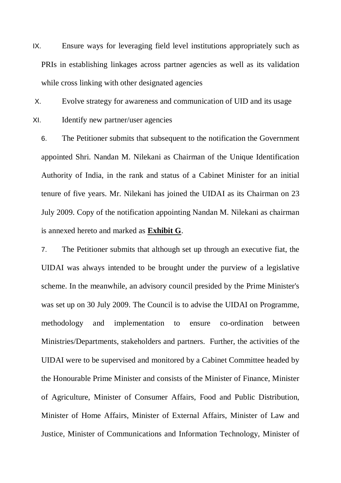IX. Ensure ways for leveraging field level institutions appropriately such as PRIs in establishing linkages across partner agencies as well as its validation while cross linking with other designated agencies

X. Evolve strategy for awareness and communication of UID and its usage XI. Identify new partner/user agencies

6. The Petitioner submits that subsequent to the notification the Government appointed Shri. Nandan M. Nilekani as Chairman of the Unique Identification Authority of India, in the rank and status of a Cabinet Minister for an initial tenure of five years. Mr. Nilekani has joined the UIDAI as its Chairman on 23 July 2009. Copy of the notification appointing Nandan M. Nilekani as chairman is annexed hereto and marked as **Exhibit G**.

7. The Petitioner submits that although set up through an executive fiat, the UIDAI was always intended to be brought under the purview of a legislative scheme. In the meanwhile, an advisory council presided by the Prime Minister's was set up on 30 July 2009. The Council is to advise the UIDAI on Programme, methodology and implementation to ensure co-ordination between Ministries/Departments, stakeholders and partners. Further, the activities of the UIDAI were to be supervised and monitored by a Cabinet Committee headed by the Honourable Prime Minister and consists of the Minister of Finance, Minister of Agriculture, Minister of Consumer Affairs, Food and Public Distribution, Minister of Home Affairs, Minister of External Affairs, Minister of Law and Justice, Minister of Communications and Information Technology, Minister of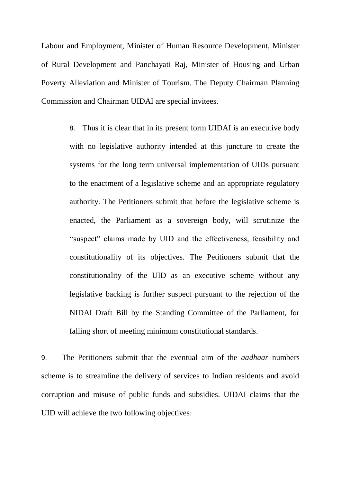Labour and Employment, Minister of Human Resource Development, Minister of Rural Development and Panchayati Raj, Minister of Housing and Urban Poverty Alleviation and Minister of Tourism. The Deputy Chairman Planning Commission and Chairman UIDAI are special invitees.

> 8. Thus it is clear that in its present form UIDAI is an executive body with no legislative authority intended at this juncture to create the systems for the long term universal implementation of UIDs pursuant to the enactment of a legislative scheme and an appropriate regulatory authority. The Petitioners submit that before the legislative scheme is enacted, the Parliament as a sovereign body, will scrutinize the "suspect" claims made by UID and the effectiveness, feasibility and constitutionality of its objectives. The Petitioners submit that the constitutionality of the UID as an executive scheme without any legislative backing is further suspect pursuant to the rejection of the NIDAI Draft Bill by the Standing Committee of the Parliament, for falling short of meeting minimum constitutional standards.

9. The Petitioners submit that the eventual aim of the *aadhaar* numbers scheme is to streamline the delivery of services to Indian residents and avoid corruption and misuse of public funds and subsidies. UIDAI claims that the UID will achieve the two following objectives: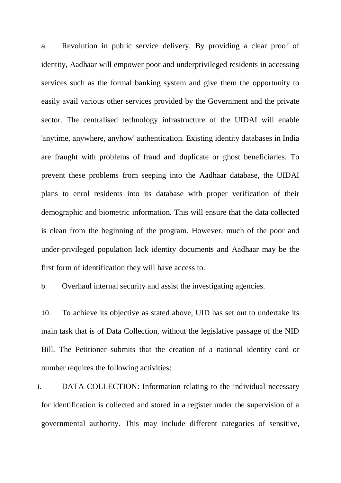a. Revolution in public service delivery. By providing a clear proof of identity, Aadhaar will empower poor and underprivileged residents in accessing services such as the formal banking system and give them the opportunity to easily avail various other services provided by the Government and the private sector. The centralised technology infrastructure of the UIDAI will enable 'anytime, anywhere, anyhow' authentication. Existing identity databases in India are fraught with problems of fraud and duplicate or ghost beneficiaries. To prevent these problems from seeping into the Aadhaar database, the UIDAI plans to enrol residents into its database with proper verification of their demographic and biometric information. This will ensure that the data collected is clean from the beginning of the program. However, much of the poor and under-privileged population lack identity documents and Aadhaar may be the first form of identification they will have access to.

b. Overhaul internal security and assist the investigating agencies.

10. To achieve its objective as stated above, UID has set out to undertake its main task that is of Data Collection, without the legislative passage of the NID Bill. The Petitioner submits that the creation of a national identity card or number requires the following activities:

i. DATA COLLECTION: Information relating to the individual necessary for identification is collected and stored in a register under the supervision of a governmental authority. This may include different categories of sensitive,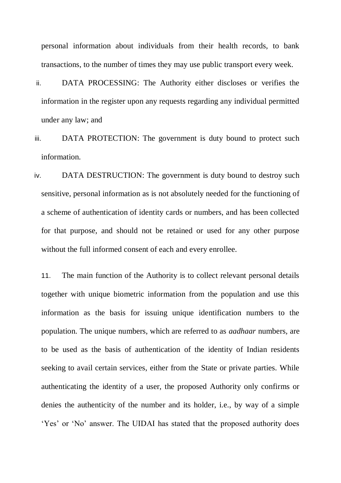personal information about individuals from their health records, to bank transactions, to the number of times they may use public transport every week.

- ii. DATA PROCESSING: The Authority either discloses or verifies the information in the register upon any requests regarding any individual permitted under any law; and
- iii. DATA PROTECTION: The government is duty bound to protect such information.
- iv. DATA DESTRUCTION: The government is duty bound to destroy such sensitive, personal information as is not absolutely needed for the functioning of a scheme of authentication of identity cards or numbers, and has been collected for that purpose, and should not be retained or used for any other purpose without the full informed consent of each and every enrollee.

11. The main function of the Authority is to collect relevant personal details together with unique biometric information from the population and use this information as the basis for issuing unique identification numbers to the population. The unique numbers, which are referred to as *aadhaar* numbers*,* are to be used as the basis of authentication of the identity of Indian residents seeking to avail certain services, either from the State or private parties. While authenticating the identity of a user, the proposed Authority only confirms or denies the authenticity of the number and its holder, i.e., by way of a simple 'Yes' or 'No' answer. The UIDAI has stated that the proposed authority does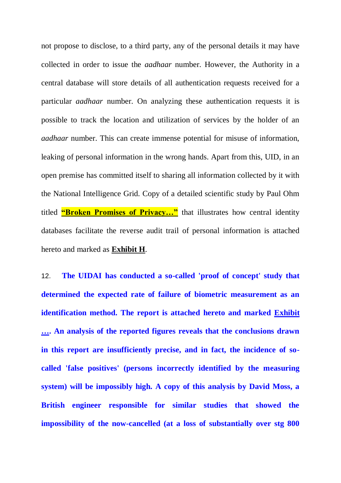not propose to disclose, to a third party, any of the personal details it may have collected in order to issue the *aadhaar* number. However, the Authority in a central database will store details of all authentication requests received for a particular *aadhaar* number. On analyzing these authentication requests it is possible to track the location and utilization of services by the holder of an *aadhaar* number. This can create immense potential for misuse of information, leaking of personal information in the wrong hands. Apart from this, UID, in an open premise has committed itself to sharing all information collected by it with the National Intelligence Grid. Copy of a detailed scientific study by Paul Ohm titled **"Broken Promises of Privacy..."** that illustrates how central identity databases facilitate the reverse audit trail of personal information is attached hereto and marked as **Exhibit H**.

12. **The UIDAI has conducted a so-called 'proof of concept' study that determined the expected rate of failure of biometric measurement as an identification method. The report is attached hereto and marked Exhibit …. An analysis of the reported figures reveals that the conclusions drawn in this report are insufficiently precise, and in fact, the incidence of socalled 'false positives' (persons incorrectly identified by the measuring system) will be impossibly high. A copy of this analysis by David Moss, a British engineer responsible for similar studies that showed the impossibility of the now-cancelled (at a loss of substantially over stg 800**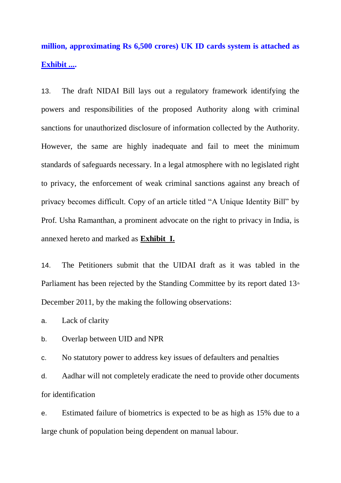**million, approximating Rs 6,500 crores) UK ID cards system is attached as Exhibit ....**

13. The draft NIDAI Bill lays out a regulatory framework identifying the powers and responsibilities of the proposed Authority along with criminal sanctions for unauthorized disclosure of information collected by the Authority. However, the same are highly inadequate and fail to meet the minimum standards of safeguards necessary. In a legal atmosphere with no legislated right to privacy, the enforcement of weak criminal sanctions against any breach of privacy becomes difficult. Copy of an article titled "A Unique Identity Bill" by Prof. Usha Ramanthan, a prominent advocate on the right to privacy in India, is annexed hereto and marked as **Exhibit I.**

14. The Petitioners submit that the UIDAI draft as it was tabled in the Parliament has been rejected by the Standing Committee by its report dated  $13<sup>th</sup>$ December 2011, by the making the following observations:

a. Lack of clarity

b. Overlap between UID and NPR

c. No statutory power to address key issues of defaulters and penalties

d. Aadhar will not completely eradicate the need to provide other documents for identification

e. Estimated failure of biometrics is expected to be as high as 15% due to a large chunk of population being dependent on manual labour.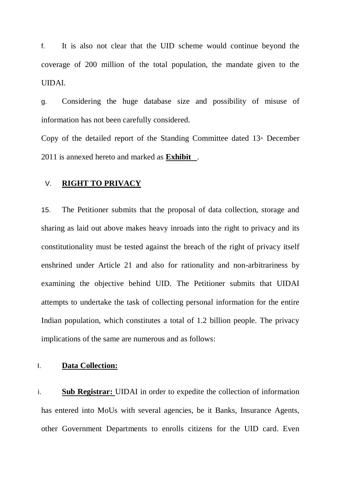f. It is also not clear that the UID scheme would continue beyond the coverage of 200 million of the total population, the mandate given to the UIDAI.

g. Considering the huge database size and possibility of misuse of information has not been carefully considered.

Copy of the detailed report of the Standing Committee dated  $13<sup>th</sup>$  December 2011 is annexed hereto and marked as **Exhibit** .

#### V. **RIGHT TO PRIVACY**

15. The Petitioner submits that the proposal of data collection, storage and sharing as laid out above makes heavy inroads into the right to privacy and its constitutionality must be tested against the breach of the right of privacy itself enshrined under Article 21 and also for rationality and non-arbitrariness by examining the objective behind UID. The Petitioner submits that UIDAI attempts to undertake the task of collecting personal information for the entire Indian population, which constitutes a total of 1.2 billion people. The privacy implications of the same are numerous and as follows:

# I. **Data Collection:**

i. **Sub Registrar:** UIDAI in order to expedite the collection of information has entered into MoUs with several agencies, be it Banks, Insurance Agents, other Government Departments to enrolls citizens for the UID card. Even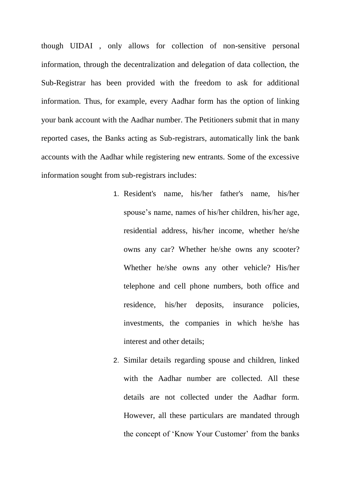though UIDAI , only allows for collection of non-sensitive personal information, through the decentralization and delegation of data collection, the Sub-Registrar has been provided with the freedom to ask for additional information. Thus, for example, every Aadhar form has the option of linking your bank account with the Aadhar number. The Petitioners submit that in many reported cases, the Banks acting as Sub-registrars, automatically link the bank accounts with the Aadhar while registering new entrants. Some of the excessive information sought from sub-registrars includes:

- 1. Resident's name, his/her father's name, his/her spouse's name, names of his/her children, his/her age, residential address, his/her income, whether he/she owns any car? Whether he/she owns any scooter? Whether he/she owns any other vehicle? His/her telephone and cell phone numbers, both office and residence, his/her deposits, insurance policies, investments, the companies in which he/she has interest and other details;
- 2. Similar details regarding spouse and children, linked with the Aadhar number are collected. All these details are not collected under the Aadhar form. However, all these particulars are mandated through the concept of 'Know Your Customer' from the banks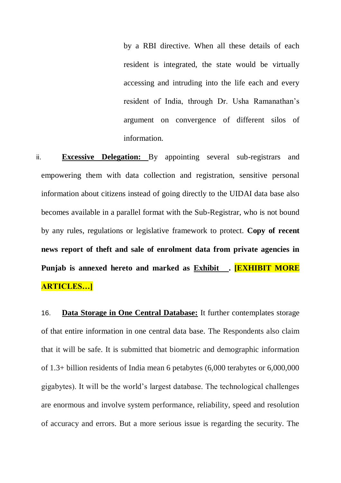by a RBI directive. When all these details of each resident is integrated, the state would be virtually accessing and intruding into the life each and every resident of India, through Dr. Usha Ramanathan's argument on convergence of different silos of information.

ii. **Excessive Delegation:** By appointing several sub-registrars and empowering them with data collection and registration, sensitive personal information about citizens instead of going directly to the UIDAI data base also becomes available in a parallel format with the Sub-Registrar, who is not bound by any rules, regulations or legislative framework to protect. **Copy of recent news report of theft and sale of enrolment data from private agencies in Punjab is annexed hereto and marked as Exhibit . [EXHIBIT MORE ARTICLES…]**

16. **Data Storage in One Central Database:** It further contemplates storage of that entire information in one central data base. The Respondents also claim that it will be safe. It is submitted that biometric and demographic information of 1.3+ billion residents of India mean 6 petabytes (6,000 terabytes or 6,000,000 gigabytes). It will be the world's largest database. The technological challenges are enormous and involve system performance, reliability, speed and resolution of accuracy and errors. But a more serious issue is regarding the security. The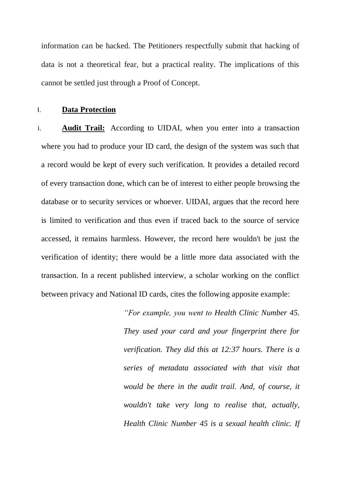information can be hacked. The Petitioners respectfully submit that hacking of data is not a theoretical fear, but a practical reality. The implications of this cannot be settled just through a Proof of Concept.

#### I. **Data Protection**

i. **Audit Trail:** According to UIDAI, when you enter into a transaction where you had to produce your ID card, the design of the system was such that a record would be kept of every such verification. It provides a detailed record of every transaction done, which can be of interest to either people browsing the database or to security services or whoever. UIDAI, argues that the record here is limited to verification and thus even if traced back to the source of service accessed, it remains harmless. However, the record here wouldn't be just the verification of identity; there would be a little more data associated with the transaction. In a recent published interview, a scholar working on the conflict between privacy and National ID cards, cites the following apposite example:

> *"For example, you went to Health Clinic Number 45. They used your card and your fingerprint there for verification. They did this at 12:37 hours. There is a series of metadata associated with that visit that would be there in the audit trail. And, of course, it wouldn't take very long to realise that, actually, Health Clinic Number 45 is a sexual health clinic. If*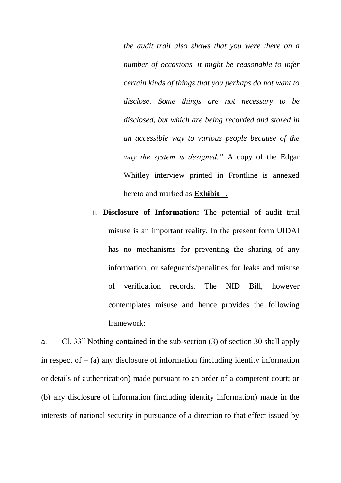*the audit trail also shows that you were there on a number of occasions, it might be reasonable to infer certain kinds of things that you perhaps do not want to disclose. Some things are not necessary to be disclosed, but which are being recorded and stored in an accessible way to various people because of the way the system is designed."* A copy of the Edgar Whitley interview printed in Frontline is annexed hereto and marked as **Exhibit .**

ii. **Disclosure of Information:** The potential of audit trail misuse is an important reality. In the present form UIDAI has no mechanisms for preventing the sharing of any information, or safeguards/penalities for leaks and misuse of verification records. The NID Bill, however contemplates misuse and hence provides the following framework:

a. Cl. 33" Nothing contained in the sub-section (3) of section 30 shall apply in respect of  $-$  (a) any disclosure of information (including identity information or details of authentication) made pursuant to an order of a competent court; or (b) any disclosure of information (including identity information) made in the interests of national security in pursuance of a direction to that effect issued by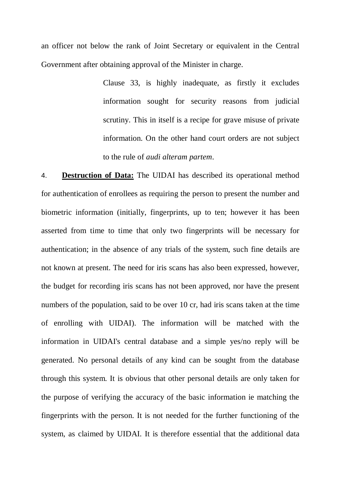an officer not below the rank of Joint Secretary or equivalent in the Central Government after obtaining approval of the Minister in charge.

> Clause 33, is highly inadequate, as firstly it excludes information sought for security reasons from judicial scrutiny. This in itself is a recipe for grave misuse of private information. On the other hand court orders are not subject to the rule of *audi alteram partem*.

4. **Destruction of Data:** The UIDAI has described its operational method for authentication of enrollees as requiring the person to present the number and biometric information (initially, fingerprints, up to ten; however it has been asserted from time to time that only two fingerprints will be necessary for authentication; in the absence of any trials of the system, such fine details are not known at present. The need for iris scans has also been expressed, however, the budget for recording iris scans has not been approved, nor have the present numbers of the population, said to be over 10 cr, had iris scans taken at the time of enrolling with UIDAI). The information will be matched with the information in UIDAI's central database and a simple yes/no reply will be generated. No personal details of any kind can be sought from the database through this system. It is obvious that other personal details are only taken for the purpose of verifying the accuracy of the basic information ie matching the fingerprints with the person. It is not needed for the further functioning of the system, as claimed by UIDAI. It is therefore essential that the additional data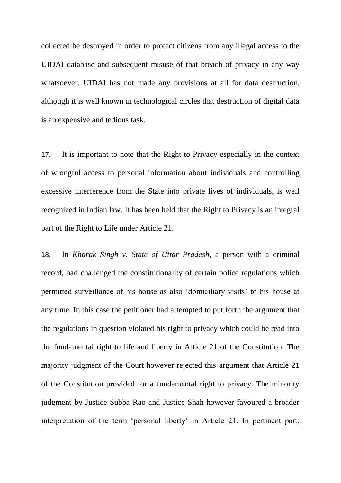collected be destroyed in order to protect citizens from any illegal access to the UIDAI database and subsequent misuse of that breach of privacy in any way whatsoever. UIDAI has not made any provisions at all for data destruction, although it is well known in technological circles that destruction of digital data is an expensive and tedious task.

17. It is important to note that the Right to Privacy especially in the context of wrongful access to personal information about individuals and controlling excessive interference from the State into private lives of individuals, is well recognized in Indian law. It has been held that the Right to Privacy is an integral part of the Right to Life under Article 21.

18. In *Kharak Singh v. State of Uttar Pradesh*, a person with a criminal record, had challenged the constitutionality of certain police regulations which permitted surveillance of his house as also 'domiciliary visits' to his house at any time. In this case the petitioner had attempted to put forth the argument that the regulations in question violated his right to privacy which could be read into the fundamental right to life and liberty in Article 21 of the Constitution. The majority judgment of the Court however rejected this argument that Article 21 of the Constitution provided for a fundamental right to privacy. The minority judgment by Justice Subba Rao and Justice Shah however favoured a broader interpretation of the term 'personal liberty' in Article 21. In pertinent part,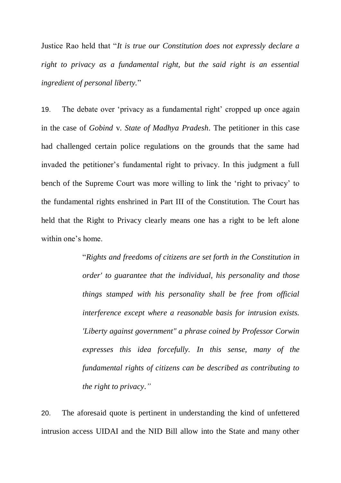Justice Rao held that "*It is true our Constitution does not expressly declare a right to privacy as a fundamental right, but the said right is an essential ingredient of personal liberty.*"

19. The debate over 'privacy as a fundamental right' cropped up once again in the case of *Gobind* v. *State of Madhya Pradesh*. The petitioner in this case had challenged certain police regulations on the grounds that the same had invaded the petitioner's fundamental right to privacy. In this judgment a full bench of the Supreme Court was more willing to link the 'right to privacy' to the fundamental rights enshrined in Part III of the Constitution. The Court has held that the Right to Privacy clearly means one has a right to be left alone within one's home.

> "*Rights and freedoms of citizens are set forth in the Constitution in order' to guarantee that the individual, his personality and those things stamped with his personality shall be free from official interference except where a reasonable basis for intrusion exists. 'Liberty against government" a phrase coined by Professor Corwin expresses this idea forcefully. In this sense, many of the fundamental rights of citizens can be described as contributing to the right to privacy*.*"*

20. The aforesaid quote is pertinent in understanding the kind of unfettered intrusion access UIDAI and the NID Bill allow into the State and many other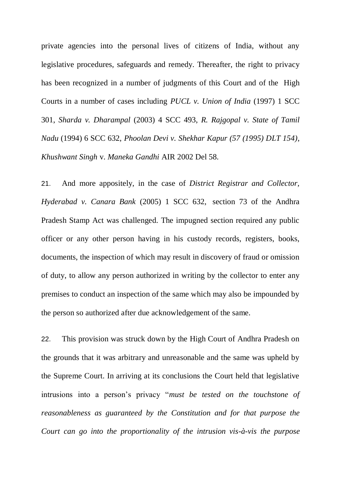private agencies into the personal lives of citizens of India, without any legislative procedures, safeguards and remedy. Thereafter, the right to privacy has been recognized in a number of judgments of this Court and of the High Courts in a number of cases including *PUCL v. Union of India* (1997) 1 SCC 301, *Sharda v. Dharampal* (2003) 4 SCC 493, *R. Rajgopal v. State of Tamil Nadu* (1994) 6 SCC 632, *Phoolan Devi v. Shekhar Kapur (57 (1995) DLT 154)*, *Khushwant Singh* v. *Maneka Gandhi* AIR 2002 Del 58.

21. And more appositely, in the case of *District Registrar and Collector, Hyderabad v. Canara Bank* (2005) 1 SCC 632, section 73 of the Andhra Pradesh Stamp Act was challenged. The impugned section required any public officer or any other person having in his custody records, registers, books, documents, the inspection of which may result in discovery of fraud or omission of duty, to allow any person authorized in writing by the collector to enter any premises to conduct an inspection of the same which may also be impounded by the person so authorized after due acknowledgement of the same.

22. This provision was struck down by the High Court of Andhra Pradesh on the grounds that it was arbitrary and unreasonable and the same was upheld by the Supreme Court. In arriving at its conclusions the Court held that legislative intrusions into a person's privacy "*must be tested on the touchstone of reasonableness as guaranteed by the Constitution and for that purpose the Court can go into the proportionality of the intrusion vis-à-vis the purpose*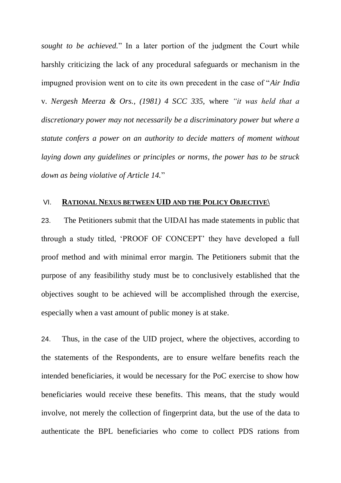*sought to be achieved.*" In a later portion of the judgment the Court while harshly criticizing the lack of any procedural safeguards or mechanism in the impugned provision went on to cite its own precedent in the case of "*Air India*  v. *Nergesh Meerza & Ors., (1981) 4 SCC 335,* where *"it was held that a discretionary power may not necessarily be a discriminatory power but where a statute confers a power on an authority to decide matters of moment without laying down any guidelines or principles or norms, the power has to be struck down as being violative of Article 14.*"

#### VI. **RATIONAL NEXUS BETWEEN UID AND THE POLICY OBJECTIVE\**

23. The Petitioners submit that the UIDAI has made statements in public that through a study titled, 'PROOF OF CONCEPT' they have developed a full proof method and with minimal error margin. The Petitioners submit that the purpose of any feasibilithy study must be to conclusively established that the objectives sought to be achieved will be accomplished through the exercise, especially when a vast amount of public money is at stake.

24. Thus, in the case of the UID project, where the objectives, according to the statements of the Respondents, are to ensure welfare benefits reach the intended beneficiaries, it would be necessary for the PoC exercise to show how beneficiaries would receive these benefits. This means, that the study would involve, not merely the collection of fingerprint data, but the use of the data to authenticate the BPL beneficiaries who come to collect PDS rations from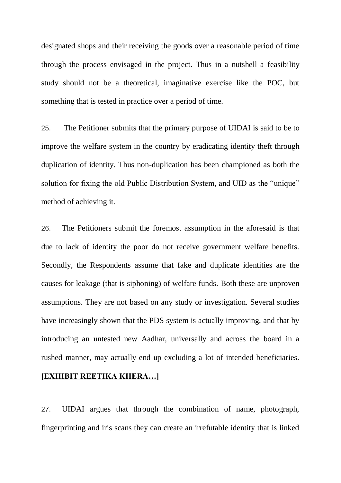designated shops and their receiving the goods over a reasonable period of time through the process envisaged in the project. Thus in a nutshell a feasibility study should not be a theoretical, imaginative exercise like the POC, but something that is tested in practice over a period of time.

25. The Petitioner submits that the primary purpose of UIDAI is said to be to improve the welfare system in the country by eradicating identity theft through duplication of identity. Thus non-duplication has been championed as both the solution for fixing the old Public Distribution System, and UID as the "unique" method of achieving it.

26. The Petitioners submit the foremost assumption in the aforesaid is that due to lack of identity the poor do not receive government welfare benefits. Secondly, the Respondents assume that fake and duplicate identities are the causes for leakage (that is siphoning) of welfare funds. Both these are unproven assumptions. They are not based on any study or investigation. Several studies have increasingly shown that the PDS system is actually improving, and that by introducing an untested new Aadhar, universally and across the board in a rushed manner, may actually end up excluding a lot of intended beneficiaries.

# **[EXHIBIT REETIKA KHERA…]**

27. UIDAI argues that through the combination of name, photograph, fingerprinting and iris scans they can create an irrefutable identity that is linked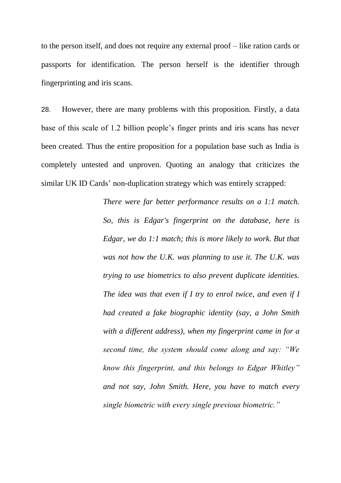to the person itself, and does not require any external proof – like ration cards or passports for identification. The person herself is the identifier through fingerprinting and iris scans.

28. However, there are many problems with this proposition. Firstly, a data base of this scale of 1.2 billion people's finger prints and iris scans has never been created. Thus the entire proposition for a population base such as India is completely untested and unproven. Quoting an analogy that criticizes the similar UK ID Cards' non-duplication strategy which was entirely scrapped:

> *There were far better performance results on a 1:1 match. So, this is Edgar's fingerprint on the database, here is Edgar, we do 1:1 match; this is more likely to work. But that was not how the U.K. was planning to use it. The U.K. was trying to use biometrics to also prevent duplicate identities. The idea was that even if I try to enrol twice, and even if I had created a fake biographic identity (say, a John Smith with a different address), when my fingerprint came in for a second time, the system should come along and say: "We know this fingerprint, and this belongs to Edgar Whitley" and not say, John Smith. Here, you have to match every single biometric with every single previous biometric."*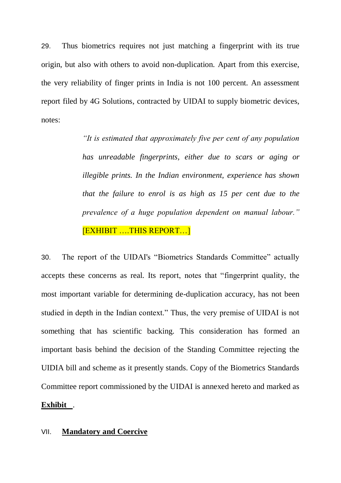29. Thus biometrics requires not just matching a fingerprint with its true origin, but also with others to avoid non-duplication. Apart from this exercise, the very reliability of finger prints in India is not 100 percent. An assessment report filed by 4G Solutions, contracted by UIDAI to supply biometric devices, notes:

> *"It is estimated that approximately five per cent of any population has unreadable fingerprints, either due to scars or aging or illegible prints. In the Indian environment, experience has shown that the failure to enrol is as high as 15 per cent due to the prevalence of a huge population dependent on manual labour."* [EXHIBIT ….THIS REPORT…]

30. The report of the UIDAI's "Biometrics Standards Committee" actually accepts these concerns as real. Its report, notes that "fingerprint quality, the most important variable for determining de-duplication accuracy, has not been studied in depth in the Indian context." Thus, the very premise of UIDAI is not something that has scientific backing. This consideration has formed an important basis behind the decision of the Standing Committee rejecting the UIDIA bill and scheme as it presently stands. Copy of the Biometrics Standards Committee report commissioned by the UIDAI is annexed hereto and marked as **Exhibit** .

#### VII. **Mandatory and Coercive**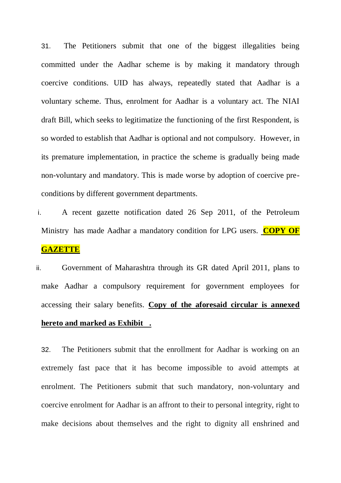31. The Petitioners submit that one of the biggest illegalities being committed under the Aadhar scheme is by making it mandatory through coercive conditions. UID has always, repeatedly stated that Aadhar is a voluntary scheme. Thus, enrolment for Aadhar is a voluntary act. The NIAI draft Bill, which seeks to legitimatize the functioning of the first Respondent, is so worded to establish that Aadhar is optional and not compulsory. However, in its premature implementation, in practice the scheme is gradually being made non-voluntary and mandatory. This is made worse by adoption of coercive preconditions by different government departments.

i. A recent gazette notification dated 26 Sep 2011, of the Petroleum Ministry has made Aadhar a mandatory condition for LPG users. **COPY OF GAZETTE**

ii. Government of Maharashtra through its GR dated April 2011, plans to make Aadhar a compulsory requirement for government employees for accessing their salary benefits. **Copy of the aforesaid circular is annexed hereto and marked as Exhibit .**

32. The Petitioners submit that the enrollment for Aadhar is working on an extremely fast pace that it has become impossible to avoid attempts at enrolment. The Petitioners submit that such mandatory, non-voluntary and coercive enrolment for Aadhar is an affront to their to personal integrity, right to make decisions about themselves and the right to dignity all enshrined and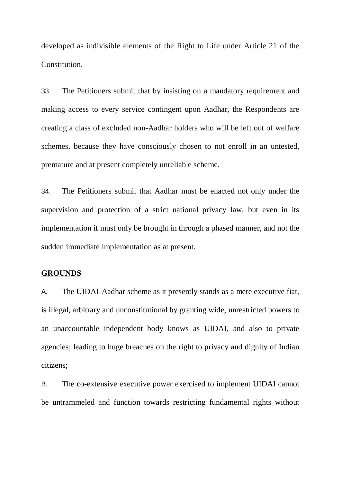developed as indivisible elements of the Right to Life under Article 21 of the Constitution.

33. The Petitioners submit that by insisting on a mandatory requirement and making access to every service contingent upon Aadhar, the Respondents are creating a class of excluded non-Aadhar holders who will be left out of welfare schemes, because they have consciously chosen to not enroll in an untested, premature and at present completely unreliable scheme.

34. The Petitioners submit that Aadhar must be enacted not only under the supervision and protection of a strict national privacy law, but even in its implementation it must only be brought in through a phased manner, and not the sudden immediate implementation as at present.

#### **GROUNDS**

A. The UIDAI-Aadhar scheme as it presently stands as a mere executive fiat, is illegal, arbitrary and unconstitutional by granting wide, unrestricted powers to an unaccountable independent body knows as UIDAI, and also to private agencies; leading to huge breaches on the right to privacy and dignity of Indian citizens;

B. The co-extensive executive power exercised to implement UIDAI cannot be untrammeled and function towards restricting fundamental rights without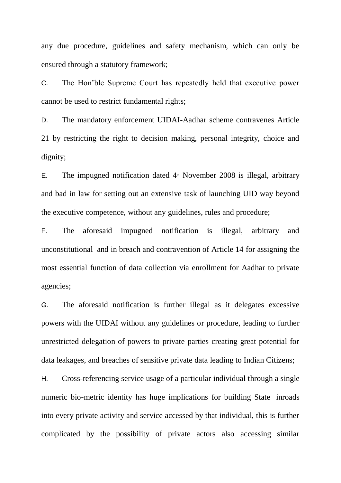any due procedure, guidelines and safety mechanism, which can only be ensured through a statutory framework;

C. The Hon'ble Supreme Court has repeatedly held that executive power cannot be used to restrict fundamental rights;

D. The mandatory enforcement UIDAI-Aadhar scheme contravenes Article 21 by restricting the right to decision making, personal integrity, choice and dignity;

E. The impugned notification dated  $4<sup>th</sup>$  November 2008 is illegal, arbitrary and bad in law for setting out an extensive task of launching UID way beyond the executive competence, without any guidelines, rules and procedure;

F. The aforesaid impugned notification is illegal, arbitrary and unconstitutional and in breach and contravention of Article 14 for assigning the most essential function of data collection via enrollment for Aadhar to private agencies;

G. The aforesaid notification is further illegal as it delegates excessive powers with the UIDAI without any guidelines or procedure, leading to further unrestricted delegation of powers to private parties creating great potential for data leakages, and breaches of sensitive private data leading to Indian Citizens;

H. Cross-referencing service usage of a particular individual through a single numeric bio-metric identity has huge implications for building State inroads into every private activity and service accessed by that individual, this is further complicated by the possibility of private actors also accessing similar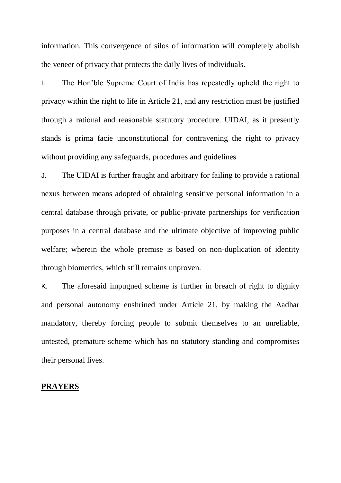information. This convergence of silos of information will completely abolish the veneer of privacy that protects the daily lives of individuals.

I. The Hon'ble Supreme Court of India has repeatedly upheld the right to privacy within the right to life in Article 21, and any restriction must be justified through a rational and reasonable statutory procedure. UIDAI, as it presently stands is prima facie unconstitutional for contravening the right to privacy without providing any safeguards, procedures and guidelines

J. The UIDAI is further fraught and arbitrary for failing to provide a rational nexus between means adopted of obtaining sensitive personal information in a central database through private, or public-private partnerships for verification purposes in a central database and the ultimate objective of improving public welfare; wherein the whole premise is based on non-duplication of identity through biometrics, which still remains unproven.

K. The aforesaid impugned scheme is further in breach of right to dignity and personal autonomy enshrined under Article 21, by making the Aadhar mandatory, thereby forcing people to submit themselves to an unreliable, untested, premature scheme which has no statutory standing and compromises their personal lives.

# **PRAYERS**